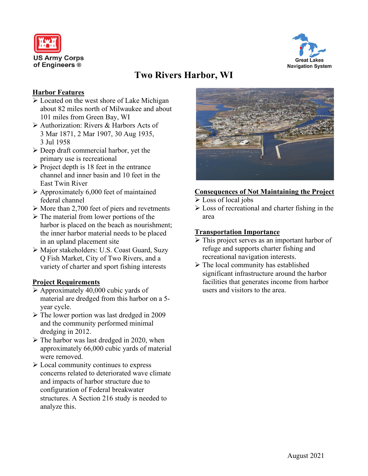



# **Two Rivers Harbor, WI**

#### **Harbor Features**

- $\triangleright$  Located on the west shore of Lake Michigan about 82 miles north of Milwaukee and about 101 miles from Green Bay, WI
- Authorization: Rivers & Harbors Acts of 3 Mar 1871, 2 Mar 1907, 30 Aug 1935, 3 Jul 1958
- Deep draft commercial harbor, yet the primary use is recreational
- $\triangleright$  Project depth is 18 feet in the entrance channel and inner basin and 10 feet in the East Twin River
- $\triangleright$  Approximately 6,000 feet of maintained federal channel
- $\triangleright$  More than 2,700 feet of piers and revetments
- $\triangleright$  The material from lower portions of the harbor is placed on the beach as nourishment; the inner harbor material needs to be placed in an upland placement site
- Major stakeholders: U.S. Coast Guard, Suzy Q Fish Market, City of Two Rivers, and a variety of charter and sport fishing interests

## **Project Requirements**

- $\triangleright$  Approximately 40,000 cubic yards of material are dredged from this harbor on a 5 year cycle.
- The lower portion was last dredged in 2009 and the community performed minimal dredging in 2012.
- $\triangleright$  The harbor was last dredged in 2020, when approximately 66,000 cubic yards of material were removed.
- Local community continues to express concerns related to deteriorated wave climate and impacts of harbor structure due to configuration of Federal breakwater structures. A Section 216 study is needed to analyze this.



#### **Consequences of Not Maintaining the Project**

- Eoss of local jobs
- $\triangleright$  Loss of recreational and charter fishing in the area

#### **Transportation Importance**

- $\triangleright$  This project serves as an important harbor of refuge and supports charter fishing and recreational navigation interests.
- $\triangleright$  The local community has established significant infrastructure around the harbor facilities that generates income from harbor users and visitors to the area.